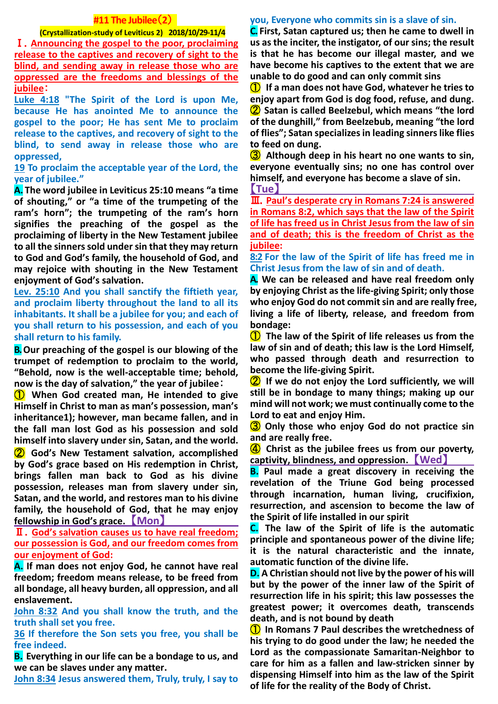### **#11 The Jubilee**(**2**)

### **(Crystallization-study of Leviticus 2) 2018/10/29-11/4**

Ⅰ.**Announcing the gospel to the poor, proclaiming release to the captives and recovery of sight to the blind, and sending away in release those who are oppressed are the freedoms and blessings of the jubilee**:

**Luke 4:18 "The Spirit of the Lord is upon Me, because He has anointed Me to announce the gospel to the poor; He has sent Me to proclaim release to the captives, and recovery of sight to the blind, to send away in release those who are oppressed,**

**19 To proclaim the acceptable year of the Lord, the year of jubilee."**

**A. The word jubilee in Leviticus 25:10 means "a time of shouting," or "a time of the trumpeting of the ram's horn"; the trumpeting of the ram's horn signifies the preaching of the gospel as the proclaiming of liberty in the New Testament jubilee to all the sinners sold under sin that they may return to God and God's family, the household of God, and may rejoice with shouting in the New Testament enjoyment of God's salvation.**

**Lev. 25:10 And you shall sanctify the fiftieth year, and proclaim liberty throughout the land to all its inhabitants. It shall be a jubilee for you; and each of you shall return to his possession, and each of you shall return to his family.**

**B.Our preaching of the gospel is our blowing of the trumpet of redemption to proclaim to the world, "Behold, now is the well-acceptable time; behold, now is the day of salvation," the year of jubilee**:

① **When God created man, He intended to give Himself in Christ to man as man's possession, man's inheritance1); however, man became fallen, and in the fall man lost God as his possession and sold himself into slavery under sin, Satan, and the world.** 

② **God's New Testament salvation, accomplished by God's grace based on His redemption in Christ, brings fallen man back to God as his divine possession, releases man from slavery under sin, Satan, and the world, and restores man to his divine family, the household of God, that he may enjoy fellowship in God's grace.** 【**Mon**】

Ⅱ.**God's salvation causes us to have real freedom; our possession is God, and our freedom comes from our enjoyment of God:**

**A. If man does not enjoy God, he cannot have real freedom; freedom means release, to be freed from all bondage, all heavy burden, all oppression, and all enslavement.** 

**John 8:32 And you shall know the truth, and the truth shall set you free.** 

**36 If therefore the Son sets you free, you shall be free indeed.**

**B. Everything in our life can be a bondage to us, and we can be slaves under any matter.** 

**John 8:34 Jesus answered them, Truly, truly, I say to** 

#### **you, Everyone who commits sin is a slave of sin.**

**C. First, Satan captured us; then he came to dwell in us as the inciter, the instigator, of our sins; the result is that he has become our illegal master, and we have become his captives to the extent that we are unable to do good and can only commit sins**

① **If a man does not have God, whatever he tries to enjoy apart from God is dog food, refuse, and dung.** ② **Satan is called Beelzebul, which means "the lord of the dunghill," from Beelzebub, meaning "the lord of flies"; Satan specializes in leading sinners like flies to feed on dung.**

③ **Although deep in his heart no one wants to sin, everyone eventually sins; no one has control over himself, and everyone has become a slave of sin.** 【**Tue**】

Ⅲ.**Paul's desperate cry in Romans 7:24 is answered in Romans 8:2, which says that the law of the Spirit of life has freed us in Christ Jesus from the law of sin and of death; this is the freedom of Christ as the jubilee:**

**8:2 For the law of the Spirit of life has freed me in Christ Jesus from the law of sin and of death.**

**A. We can be released and have real freedom only by enjoying Christ as the life-giving Spirit; only those who enjoy God do not commit sin and are really free, living a life of liberty, release, and freedom from bondage:**

① **The law of the Spirit of life releases us from the law of sin and of death; this law is the Lord Himself, who passed through death and resurrection to become the life-giving Spirit.**

② **If we do not enjoy the Lord sufficiently, we will still be in bondage to many things; making up our mind will not work; we must continually come to the Lord to eat and enjoy Him.**

③ **Only those who enjoy God do not practice sin and are really free.**

④ **Christ as the jubilee frees us from our poverty, captivity, blindness, and oppression.** 【**Wed**】

**B. Paul made a great discovery in receiving the revelation of the Triune God being processed through incarnation, human living, crucifixion, resurrection, and ascension to become the law of the Spirit of life installed in our spirit**

**C. The law of the Spirit of life is the automatic principle and spontaneous power of the divine life; it is the natural characteristic and the innate, automatic function of the divine life.**

**D. A Christian should not live by the power of his will but by the power of the inner law of the Spirit of resurrection life in his spirit; this law possesses the greatest power; it overcomes death, transcends death, and is not bound by death**

① **In Romans 7 Paul describes the wretchedness of his trying to do good under the law; he needed the Lord as the compassionate Samaritan-Neighbor to care for him as a fallen and law-stricken sinner by dispensing Himself into him as the law of the Spirit of life for the reality of the Body of Christ.**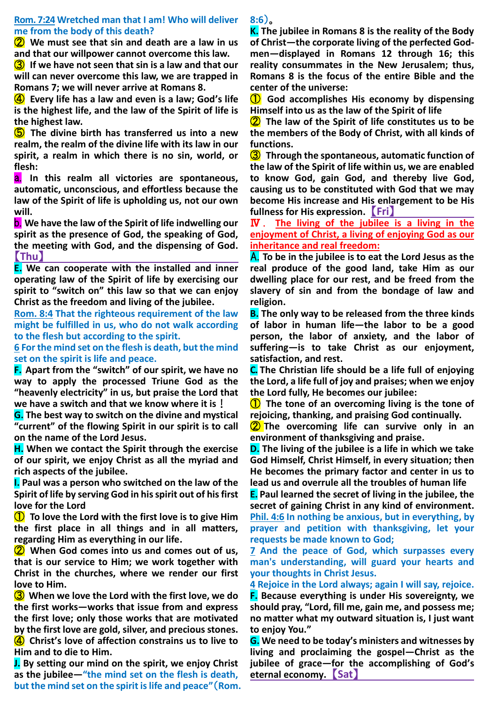#### **Rom. 7:24 Wretched man that I am! Who will deliver me from the body of this death?**

② **We must see that sin and death are a law in us and that our willpower cannot overcome this law.**

③ **If we have not seen that sin is a law and that our will can never overcome this law, we are trapped in Romans 7; we will never arrive at Romans 8.**

④ **Every life has a law and even is a law; God's life is the highest life, and the law of the Spirit of life is the highest law.**

⑤ **The divine birth has transferred us into a new realm, the realm of the divine life with its law in our spirit, a realm in which there is no sin, world, or flesh:**

a. **In this realm all victories are spontaneous, automatic, unconscious, and effortless because the law of the Spirit of life is upholding us, not our own will.**

b. **We have the law of the Spirit of life indwelling our spirit as the presence of God, the speaking of God, the meeting with God, and the dispensing of God.** 【**Thu**】

**E. We can cooperate with the installed and inner operating law of the Spirit of life by exercising our spirit to "switch on" this law so that we can enjoy Christ as the freedom and living of the jubilee.**

**Rom. 8:4 That the righteous requirement of the law might be fulfilled in us, who do not walk according to the flesh but according to the spirit.** 

**6 For the mind set on the flesh is death, but the mind set on the spirit is life and peace.**

**F. Apart from the "switch" of our spirit, we have no way to apply the processed Triune God as the "heavenly electricity" in us, but praise the Lord that we have a switch and that we know where it is**!

**G. The best way to switch on the divine and mystical "current" of the flowing Spirit in our spirit is to call on the name of the Lord Jesus.**

**H. When we contact the Spirit through the exercise of our spirit, we enjoy Christ as all the myriad and rich aspects of the jubilee.**

**I. Paul was a person who switched on the law of the Spirit of life by serving God in his spirit out of his first love for the Lord**

① **To love the Lord with the first love is to give Him the first place in all things and in all matters, regarding Him as everything in our life.**

② **When God comes into us and comes out of us, that is our service to Him; we work together with Christ in the churches, where we render our first love to Him.**

③ **When we love the Lord with the first love, we do the first works—works that issue from and express the first love; only those works that are motivated by the first love are gold, silver, and precious stones.** ④ **Christ's love of affection constrains us to live to Him and to die to Him.**

**J. By setting our mind on the spirit, we enjoy Christ as the jubilee—"the mind set on the flesh is death, but the mind set on the spirit is life and peace"**(**Rom.**  **8:6**)。

**K. The jubilee in Romans 8 is the reality of the Body of Christ—the corporate living of the perfected Godmen—displayed in Romans 12 through 16; this reality consummates in the New Jerusalem; thus, Romans 8 is the focus of the entire Bible and the center of the universe:**

① **God accomplishes His economy by dispensing Himself into us as the law of the Spirit of life**

② **The law of the Spirit of life constitutes us to be the members of the Body of Christ, with all kinds of functions.**

③ **Through the spontaneous, automatic function of the law of the Spirit of life within us, we are enabled to know God, gain God, and thereby live God, causing us to be constituted with God that we may become His increase and His enlargement to be His fullness for His expression.** 【**Fri**】

Ⅳ . **The living of the jubilee is a living in the enjoyment of Christ, a living of enjoying God as our inheritance and real freedom:**

A. **To be in the jubilee is to eat the Lord Jesus as the real produce of the good land, take Him as our dwelling place for our rest, and be freed from the slavery of sin and from the bondage of law and religion.**

**B. The only way to be released from the three kinds of labor in human life—the labor to be a good person, the labor of anxiety, and the labor of suffering—is to take Christ as our enjoyment, satisfaction, and rest.**

**C. The Christian life should be a life full of enjoying the Lord, a life full of joy and praises; when we enjoy the Lord fully, He becomes our jubilee:**

① **The tone of an overcoming living is the tone of rejoicing, thanking, and praising God continually.**

② **The overcoming life can survive only in an environment of thanksgiving and praise.**

**D. The living of the jubilee is a life in which we take God Himself, Christ Himself, in every situation; then He becomes the primary factor and center in us to lead us and overrule all the troubles of human life**

**E. Paul learned the secret of living in the jubilee, the secret of gaining Christ in any kind of environment. Phil. 4:6 In nothing be anxious, but in everything, by prayer and petition with thanksgiving, let your requests be made known to God;** 

**7 And the peace of God, which surpasses every man's understanding, will guard your hearts and your thoughts in Christ Jesus.** 

**4 Rejoice in the Lord always; again I will say, rejoice. F. Because everything is under His sovereignty, we should pray, "Lord, fill me, gain me, and possess me; no matter what my outward situation is, I just want to enjoy You."**

**G. We need to be today's ministers and witnesses by living and proclaiming the gospel—Christ as the jubilee of grace—for the accomplishing of God's eternal economy.** 【**Sat**】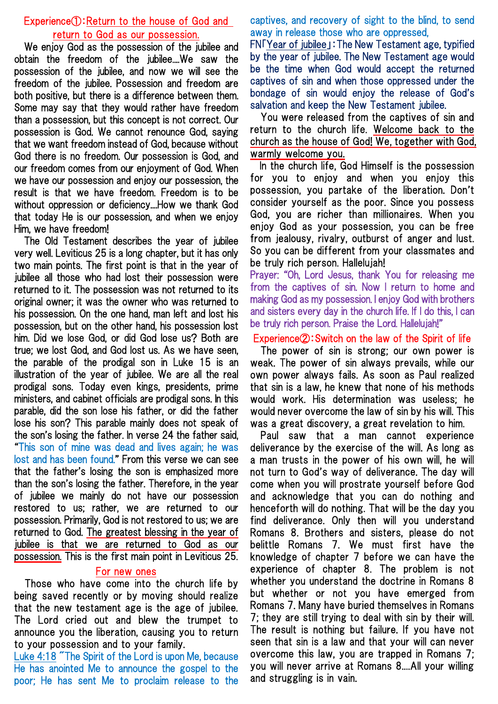# Experience①:Return to the house of God and return to God as our possession.

We enjoy God as the possession of the jubilee and obtain the freedom of the jubilee....We saw the possession of the jubilee, and now we will see the freedom of the jubilee. Possession and freedom are both positive, but there is a difference between them. Some may say that they would rather have freedom than a possession, but this concept is not correct. Our possession is God. We cannot renounce God, saying that we want freedom instead of God, because without God there is no freedom. Our possession is God, and our freedom comes from our enjoyment of God. When we have our possession and enjoy our possession, the result is that we have freedom. Freedom is to be without oppression or deficiency....How we thank God that today He is our possession, and when we enjoy Him, we have freedom!

The Old Testament describes the year of jubilee very well. Leviticus 25 is a long chapter, but it has only two main points. The first point is that in the year of jubilee all those who had lost their possession were returned to it. The possession was not returned to its original owner; it was the owner who was returned to his possession. On the one hand, man left and lost his possession, but on the other hand, his possession lost him. Did we lose God, or did God lose us? Both are true; we lost God, and God lost us. As we have seen, the parable of the prodigal son in Luke 15 is an illustration of the year of jubilee. We are all the real prodigal sons. Today even kings, presidents, prime ministers, and cabinet officials are prodigal sons. In this parable, did the son lose his father, or did the father lose his son? This parable mainly does not speak of the son's losing the father. In verse 24 the father said, "This son of mine was dead and lives again; he was lost and has been found." From this verse we can see that the father's losing the son is emphasized more than the son's losing the father. Therefore, in the year of jubilee we mainly do not have our possession restored to us; rather, we are returned to our possession. Primarily, God is not restored to us; we are returned to God. The greatest blessing in the year of jubilee is that we are returned to God as our possession. This is the first main point in Leviticus 25.

## For new ones

Those who have come into the church life by being saved recently or by moving should realize that the new testament age is the age of jubilee. The Lord cried out and blew the trumpet to announce you the liberation, causing you to return to your possession and to your family.

Luke 4:18 "The Spirit of the Lord is upon Me, because He has anointed Me to announce the gospel to the poor; He has sent Me to proclaim release to the captives, and recovery of sight to the blind, to send away in release those who are oppressed,

FN「Year of jubilee」:The New Testament age, typified by the year of jubilee. The New Testament age would be the time when God would accept the returned captives of sin and when those oppressed under the bondage of sin would enjoy the release of God's salvation and keep the New Testament jubilee.

You were released from the captives of sin and return to the church life. Welcome back to the church as the house of God! We, together with God, warmly welcome you.

In the church life, God Himself is the possession for you to enjoy and when you enjoy this possession, you partake of the liberation. Don't consider yourself as the poor. Since you possess God, you are richer than millionaires. When you enjoy God as your possession, you can be free from jealousy, rivalry, outburst of anger and lust. So you can be different from your classmates and be truly rich person. Hallelujah!

Prayer: "Oh, Lord Jesus, thank You for releasing me from the captives of sin. Now I return to home and making God as my possession. I enjoy God with brothers and sisters every day in the church life. If I do this, I can be truly rich person. Praise the Lord. Hallelujah!"

## Experience②:Switch on the law of the Spirit of life

The power of sin is strong; our own power is weak. The power of sin always prevails, while our own power always fails. As soon as Paul realized that sin is a law, he knew that none of his methods would work. His determination was useless; he would never overcome the law of sin by his will. This was a great discovery, a great revelation to him.

Paul saw that a man cannot experience deliverance by the exercise of the will. As long as a man trusts in the power of his own will, he will not turn to God's way of deliverance. The day will come when you will prostrate yourself before God and acknowledge that you can do nothing and henceforth will do nothing. That will be the day you find deliverance. Only then will you understand Romans 8. Brothers and sisters, please do not belittle Romans 7. We must first have the knowledge of chapter 7 before we can have the experience of chapter 8. The problem is not whether you understand the doctrine in Romans 8 but whether or not you have emerged from Romans 7. Many have buried themselves in Romans 7; they are still trying to deal with sin by their will. The result is nothing but failure. If you have not seen that sin is a law and that your will can never overcome this law, you are trapped in Romans 7; you will never arrive at Romans 8....All your willing and struggling is in vain.